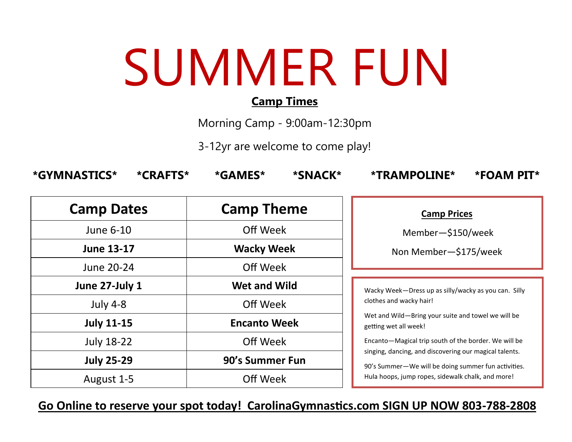# SUMMER FUN

#### **Camp Times**

Morning Camp - 9:00am-12:30pm

3-12yr are welcome to come play!

| *GYMNASTICS*<br>*CRAFTS* | *GAMES*<br>*SNACK*  | <b>*TRAMPOLINE*</b><br>*FOAM PIT*                                                                                                                                                                                                                                                                                                    |
|--------------------------|---------------------|--------------------------------------------------------------------------------------------------------------------------------------------------------------------------------------------------------------------------------------------------------------------------------------------------------------------------------------|
| <b>Camp Dates</b>        | <b>Camp Theme</b>   | <b>Camp Prices</b>                                                                                                                                                                                                                                                                                                                   |
| June 6-10                | Off Week            | Member-\$150/week                                                                                                                                                                                                                                                                                                                    |
| <b>June 13-17</b>        | <b>Wacky Week</b>   | Non Member-\$175/week                                                                                                                                                                                                                                                                                                                |
| June 20-24               | Off Week            |                                                                                                                                                                                                                                                                                                                                      |
| June 27-July 1           | <b>Wet and Wild</b> | Wacky Week-Dress up as silly/wacky as you can. Silly                                                                                                                                                                                                                                                                                 |
| <b>July 4-8</b>          | Off Week            | clothes and wacky hair!<br>Wet and Wild-Bring your suite and towel we will be<br>getting wet all week!<br>Encanto-Magical trip south of the border. We will be<br>singing, dancing, and discovering our magical talents.<br>90's Summer-We will be doing summer fun activities.<br>Hula hoops, jump ropes, sidewalk chalk, and more! |
| <b>July 11-15</b>        | <b>Encanto Week</b> |                                                                                                                                                                                                                                                                                                                                      |
| <b>July 18-22</b>        | Off Week            |                                                                                                                                                                                                                                                                                                                                      |
| <b>July 25-29</b>        | 90's Summer Fun     |                                                                                                                                                                                                                                                                                                                                      |
| August 1-5               | Off Week            |                                                                                                                                                                                                                                                                                                                                      |

**Go Online to reserve your spot today! CarolinaGymnastics.com SIGN UP NOW 803-788-2808**